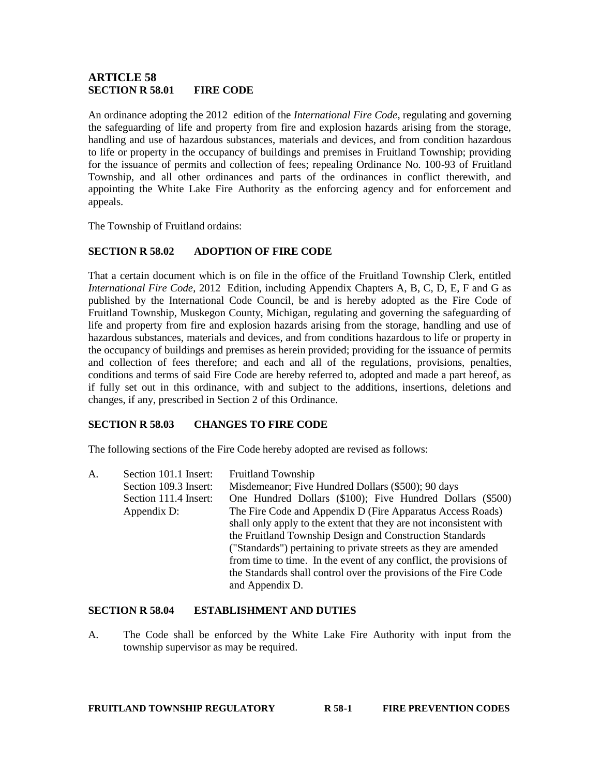### **ARTICLE 58 SECTION R 58.01 FIRE CODE**

An ordinance adopting the 2012 edition of the *International Fire Code*, regulating and governing the safeguarding of life and property from fire and explosion hazards arising from the storage, handling and use of hazardous substances, materials and devices, and from condition hazardous to life or property in the occupancy of buildings and premises in Fruitland Township; providing for the issuance of permits and collection of fees; repealing Ordinance No. 100-93 of Fruitland Township, and all other ordinances and parts of the ordinances in conflict therewith, and appointing the White Lake Fire Authority as the enforcing agency and for enforcement and appeals.

The Township of Fruitland ordains:

### **SECTION R 58.02 ADOPTION OF FIRE CODE**

That a certain document which is on file in the office of the Fruitland Township Clerk, entitled *International Fire Code*, 2012 Edition, including Appendix Chapters A, B, C, D, E, F and G as published by the International Code Council, be and is hereby adopted as the Fire Code of Fruitland Township, Muskegon County, Michigan, regulating and governing the safeguarding of life and property from fire and explosion hazards arising from the storage, handling and use of hazardous substances, materials and devices, and from conditions hazardous to life or property in the occupancy of buildings and premises as herein provided; providing for the issuance of permits and collection of fees therefore; and each and all of the regulations, provisions, penalties, conditions and terms of said Fire Code are hereby referred to, adopted and made a part hereof, as if fully set out in this ordinance, with and subject to the additions, insertions, deletions and changes, if any, prescribed in Section 2 of this Ordinance.

### **SECTION R 58.03 CHANGES TO FIRE CODE**

The following sections of the Fire Code hereby adopted are revised as follows:

A. Section 101.1 Insert: Fruitland Township Section 109.3 Insert: Misdemeanor; Five Hundred Dollars (\$500); 90 days Section 111.4 Insert: One Hundred Dollars (\$100); Five Hundred Dollars (\$500) Appendix D: The Fire Code and Appendix D (Fire Apparatus Access Roads) shall only apply to the extent that they are not inconsistent with the Fruitland Township Design and Construction Standards ("Standards") pertaining to private streets as they are amended from time to time. In the event of any conflict, the provisions of the Standards shall control over the provisions of the Fire Code and Appendix D.

### **SECTION R 58.04 ESTABLISHMENT AND DUTIES**

A. The Code shall be enforced by the White Lake Fire Authority with input from the township supervisor as may be required.